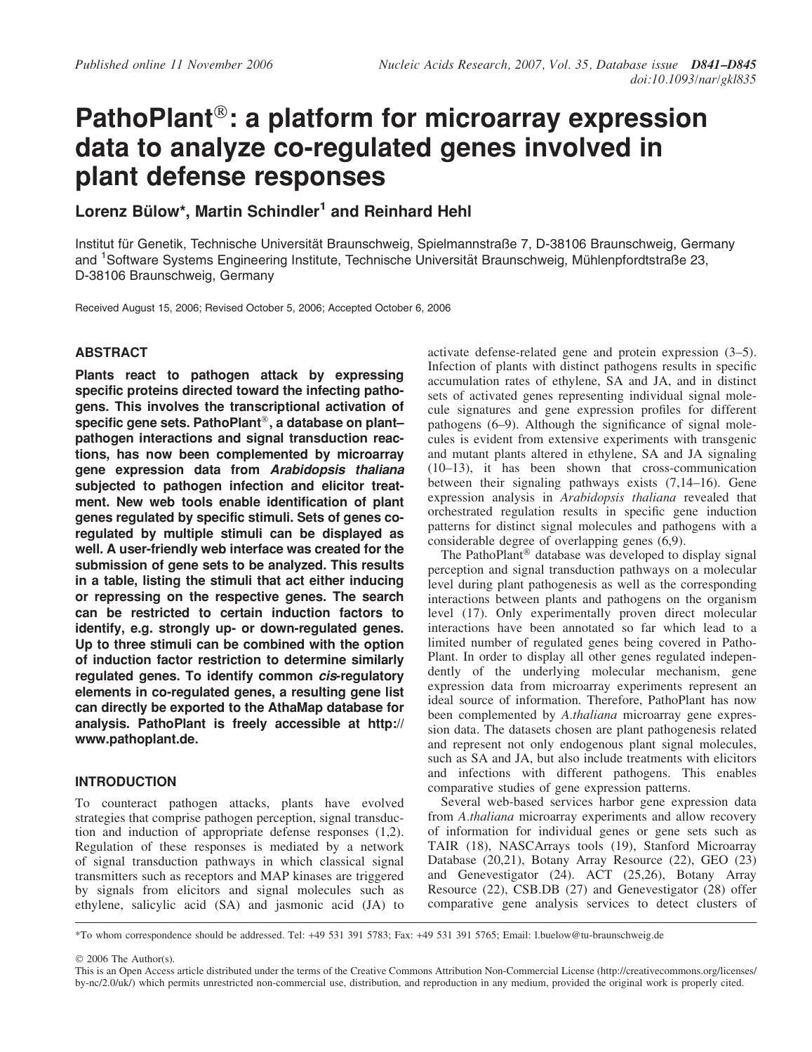# PathoPlant<sup>®</sup>: a platform for microarray expression data to analyze co-regulated genes involved in plant defense responses

Lorenz Bülow\*, Martin Schindler<sup>1</sup> and Reinhard Hehl

Institut für Genetik, Technische Universität Braunschweig, Spielmannstraße 7, D-38106 Braunschweig, Germany and <sup>1</sup>Software Systems Engineering Institute, Technische Universität Braunschweig, Mühlenpfordtstraße 23, D-38106 Braunschweig, Germany

Received August 15, 2006; Revised October 5, 2006; Accepted October 6, 2006

# ABSTRACT

Plants react to pathogen attack by expressing specific proteins directed toward the infecting pathogens. This involves the transcriptional activation of specific gene sets. PathoPlant<sup>®</sup>, a database on plant– pathogen interactions and signal transduction reactions, has now been complemented by microarray gene expression data from Arabidopsis thaliana subjected to pathogen infection and elicitor treatment. New web tools enable identification of plant genes regulated by specific stimuli. Sets of genes coregulated by multiple stimuli can be displayed as well. A user-friendly web interface was created for the submission of gene sets to be analyzed. This results in a table, listing the stimuli that act either inducing or repressing on the respective genes. The search can be restricted to certain induction factors to identify, e.g. strongly up- or down-regulated genes. Up to three stimuli can be combined with the option of induction factor restriction to determine similarly regulated genes. To identify common *cis-regulatory* elements in co-regulated genes, a resulting gene list can directly be exported to the AthaMap database for analysis. PathoPlant is freely accessible at<http://> www.pathoplant.de.

# INTRODUCTION

To counteract pathogen attacks, plants have evolved strategies that comprise pathogen perception, signal transduction and induction of appropriate defense responses (1,2). Regulation of these responses is mediated by a network of signal transduction pathways in which classical signal transmitters such as receptors and MAP kinases are triggered by signals from elicitors and signal molecules such as ethylene, salicylic acid (SA) and jasmonic acid (JA) to activate defense-related gene and protein expression (3–5). Infection of plants with distinct pathogens results in specific accumulation rates of ethylene, SA and JA, and in distinct sets of activated genes representing individual signal molecule signatures and gene expression profiles for different pathogens (6–9). Although the significance of signal molecules is evident from extensive experiments with transgenic and mutant plants altered in ethylene, SA and JA signaling (10–13), it has been shown that cross-communication between their signaling pathways exists (7,14–16). Gene expression analysis in Arabidopsis thaliana revealed that orchestrated regulation results in specific gene induction patterns for distinct signal molecules and pathogens with a considerable degree of overlapping genes (6,9).

The PathoPlant<sup>®</sup> database was developed to display signal perception and signal transduction pathways on a molecular level during plant pathogenesis as well as the corresponding interactions between plants and pathogens on the organism level (17). Only experimentally proven direct molecular interactions have been annotated so far which lead to a limited number of regulated genes being covered in Patho-Plant. In order to display all other genes regulated independently of the underlying molecular mechanism, gene expression data from microarray experiments represent an ideal source of information. Therefore, PathoPlant has now been complemented by A.thaliana microarray gene expression data. The datasets chosen are plant pathogenesis related and represent not only endogenous plant signal molecules, such as SA and JA, but also include treatments with elicitors and infections with different pathogens. This enables comparative studies of gene expression patterns.

Several web-based services harbor gene expression data from A.thaliana microarray experiments and allow recovery of information for individual genes or gene sets such as TAIR (18), NASCArrays tools (19), Stanford Microarray Database (20,21), Botany Array Resource (22), GEO (23) and Genevestigator (24). ACT (25,26), Botany Array Resource (22), CSB.DB (27) and Genevestigator (28) offer comparative gene analysis services to detect clusters of

\*To whom correspondence should be addressed. Tel: +49 531 391 5783; Fax: +49 531 391 5765; Email: l.buelow@tu-braunschweig.de

© 2006 The Author(s).

This is an Open Access article distributed under the terms of the Creative Commons Attribution Non-Commercial License [\(http://creativecommons.org/licenses/](http://creativecommons.org/licenses/) by-nc/2.0/uk/) which permits unrestricted non-commercial use, distribution, and reproduction in any medium, provided the original work is properly cited.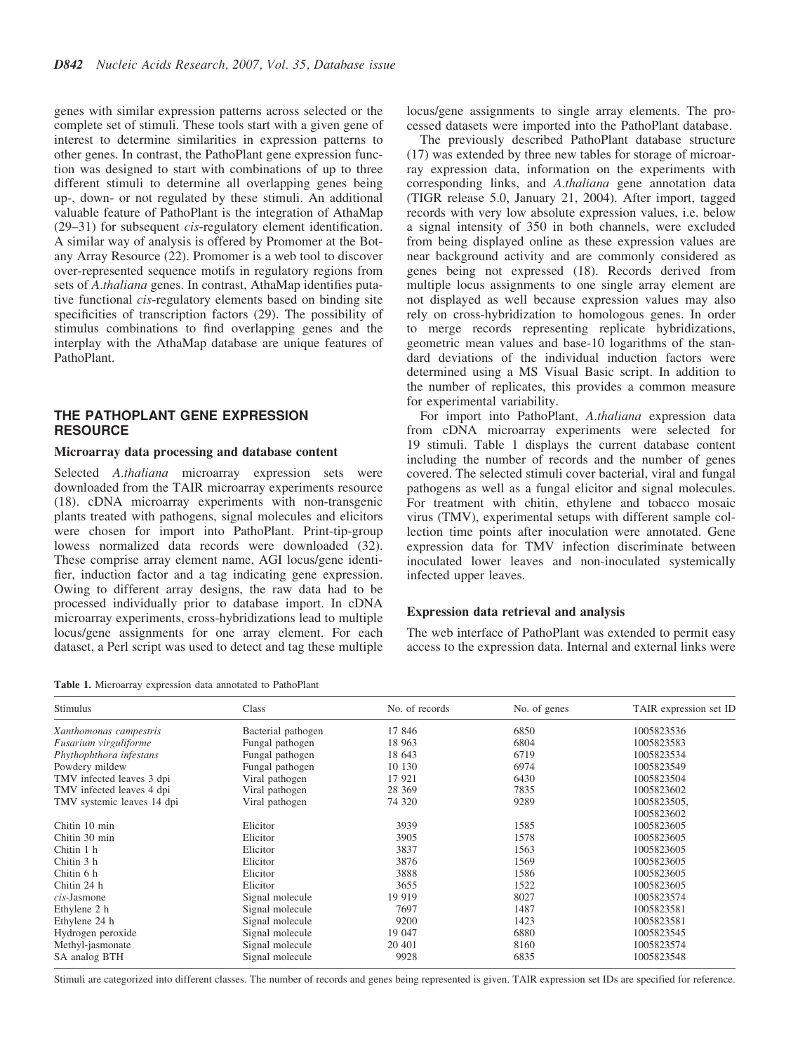genes with similar expression patterns across selected or the complete set of stimuli. These tools start with a given gene of interest to determine similarities in expression patterns to other genes. In contrast, the PathoPlant gene expression function was designed to start with combinations of up to three different stimuli to determine all overlapping genes being up-, down- or not regulated by these stimuli. An additional valuable feature of PathoPlant is the integration of AthaMap (29–31) for subsequent cis-regulatory element identification. A similar way of analysis is offered by Promomer at the Botany Array Resource (22). Promomer is a web tool to discover over-represented sequence motifs in regulatory regions from sets of A.thaliana genes. In contrast, AthaMap identifies putative functional cis-regulatory elements based on binding site specificities of transcription factors (29). The possibility of stimulus combinations to find overlapping genes and the interplay with the AthaMap database are unique features of PathoPlant.

# THE PATHOPLANT GENE EXPRESSION **RESOURCE**

#### Microarray data processing and database content

Selected *A.thaliana* microarray expression sets were downloaded from the TAIR microarray experiments resource (18). cDNA microarray experiments with non-transgenic plants treated with pathogens, signal molecules and elicitors were chosen for import into PathoPlant. Print-tip-group lowess normalized data records were downloaded (32). These comprise array element name, AGI locus/gene identifier, induction factor and a tag indicating gene expression. Owing to different array designs, the raw data had to be processed individually prior to database import. In cDNA microarray experiments, cross-hybridizations lead to multiple locus/gene assignments for one array element. For each dataset, a Perl script was used to detect and tag these multiple

locus/gene assignments to single array elements. The processed datasets were imported into the PathoPlant database.

The previously described PathoPlant database structure (17) was extended by three new tables for storage of microarray expression data, information on the experiments with corresponding links, and A.thaliana gene annotation data (TIGR release 5.0, January 21, 2004). After import, tagged records with very low absolute expression values, i.e. below a signal intensity of 350 in both channels, were excluded from being displayed online as these expression values are near background activity and are commonly considered as genes being not expressed (18). Records derived from multiple locus assignments to one single array element are not displayed as well because expression values may also rely on cross-hybridization to homologous genes. In order to merge records representing replicate hybridizations, geometric mean values and base-10 logarithms of the standard deviations of the individual induction factors were determined using a MS Visual Basic script. In addition to the number of replicates, this provides a common measure for experimental variability.

For import into PathoPlant, A.thaliana expression data from cDNA microarray experiments were selected for 19 stimuli. Table 1 displays the current database content including the number of records and the number of genes covered. The selected stimuli cover bacterial, viral and fungal pathogens as well as a fungal elicitor and signal molecules. For treatment with chitin, ethylene and tobacco mosaic virus (TMV), experimental setups with different sample collection time points after inoculation were annotated. Gene expression data for TMV infection discriminate between inoculated lower leaves and non-inoculated systemically infected upper leaves.

# Expression data retrieval and analysis

The web interface of PathoPlant was extended to permit easy access to the expression data. Internal and external links were

Table 1. Microarray expression data annotated to PathoPlant

| Stimulus                   | Class              | No. of records | No. of genes | TAIR expression set ID |  |
|----------------------------|--------------------|----------------|--------------|------------------------|--|
| Xanthomonas campestris     | Bacterial pathogen | 17 846         | 6850         | 1005823536             |  |
| Fusarium virguliforme      | Fungal pathogen    | 18 963<br>6804 |              | 1005823583             |  |
| Phythophthora infestans    | Fungal pathogen    | 18 643         | 6719         | 1005823534             |  |
| Powdery mildew             | Fungal pathogen    | 10 130         | 6974         | 1005823549             |  |
| TMV infected leaves 3 dpi  | Viral pathogen     | 17 921         | 6430         | 1005823504             |  |
| TMV infected leaves 4 dpi  | Viral pathogen     | 28 36 9        | 7835         | 1005823602             |  |
| TMV systemic leaves 14 dpi | Viral pathogen     | 74 320         | 9289         | 1005823505,            |  |
|                            |                    |                |              | 1005823602             |  |
| Chitin 10 min              | Elicitor           | 3939           | 1585         | 1005823605             |  |
| Chitin 30 min              | Elicitor           | 1578<br>3905   |              | 1005823605             |  |
| Chitin 1 h                 | Elicitor           | 3837           | 1563         | 1005823605             |  |
| Chitin 3 h                 | Elicitor           | 3876           | 1569         | 1005823605             |  |
| Chitin 6 h                 | Elicitor           | 3888           | 1586         | 1005823605             |  |
| Chitin 24 h                | Elicitor           | 3655           | 1522         | 1005823605             |  |
| $cis$ -Jasmone             | Signal molecule    | 19 9 19        | 8027         | 1005823574             |  |
| Ethylene 2 h               | Signal molecule    | 7697           | 1487         | 1005823581             |  |
| Ethylene 24 h              | Signal molecule    | 9200           | 1423         | 1005823581             |  |
| Hydrogen peroxide          | Signal molecule    | 19 047         | 6880         | 1005823545             |  |
| Methyl-jasmonate           | Signal molecule    | 20 401         | 8160         | 1005823574             |  |
| SA analog BTH              | Signal molecule    | 9928           | 6835         | 1005823548             |  |

Stimuli are categorized into different classes. The number of records and genes being represented is given. TAIR expression set IDs are specified for reference.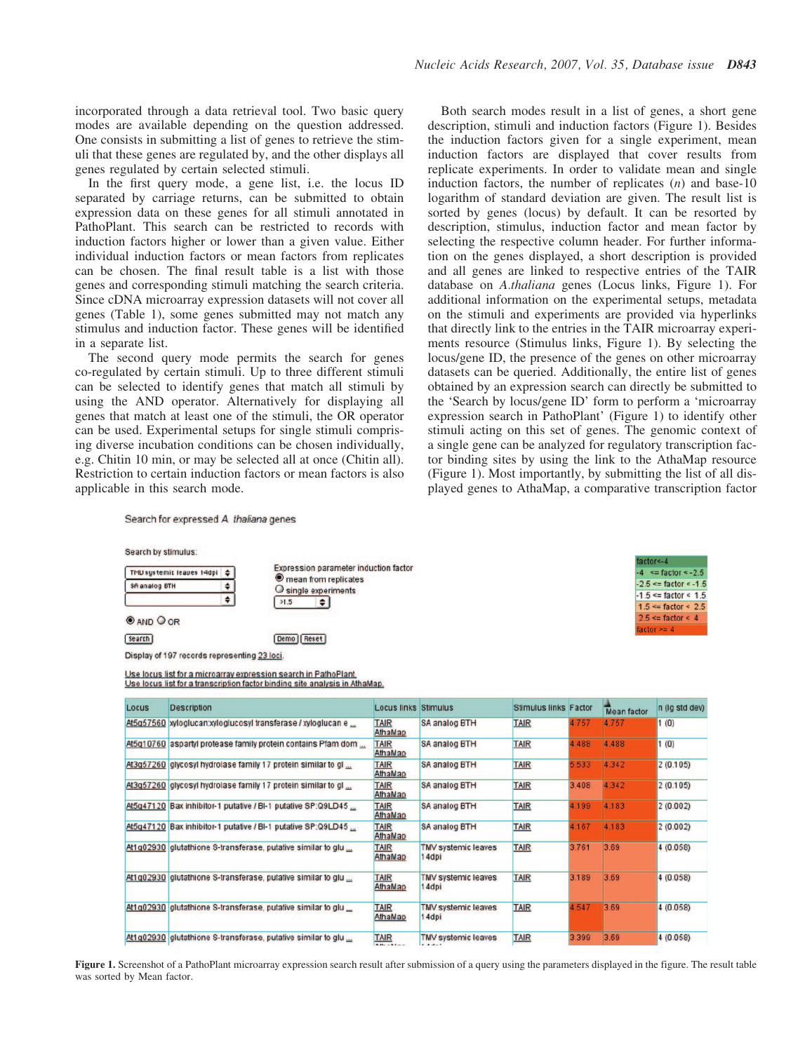incorporated through a data retrieval tool. Two basic query modes are available depending on the question addressed. One consists in submitting a list of genes to retrieve the stimuli that these genes are regulated by, and the other displays all genes regulated by certain selected stimuli.

In the first query mode, a gene list, i.e. the locus ID separated by carriage returns, can be submitted to obtain expression data on these genes for all stimuli annotated in PathoPlant. This search can be restricted to records with induction factors higher or lower than a given value. Either individual induction factors or mean factors from replicates can be chosen. The final result table is a list with those genes and corresponding stimuli matching the search criteria. Since cDNA microarray expression datasets will not cover all genes (Table 1), some genes submitted may not match any stimulus and induction factor. These genes will be identified in a separate list.

The second query mode permits the search for genes co-regulated by certain stimuli. Up to three different stimuli can be selected to identify genes that match all stimuli by using the AND operator. Alternatively for displaying all genes that match at least one of the stimuli, the OR operator can be used. Experimental setups for single stimuli comprising diverse incubation conditions can be chosen individually, e.g. Chitin 10 min, or may be selected all at once (Chitin all). Restriction to certain induction factors or mean factors is also applicable in this search mode.

Both search modes result in a list of genes, a short gene description, stimuli and induction factors (Figure 1). Besides the induction factors given for a single experiment, mean induction factors are displayed that cover results from replicate experiments. In order to validate mean and single induction factors, the number of replicates  $(n)$  and base-10 logarithm of standard deviation are given. The result list is sorted by genes (locus) by default. It can be resorted by description, stimulus, induction factor and mean factor by selecting the respective column header. For further information on the genes displayed, a short description is provided and all genes are linked to respective entries of the TAIR database on A.thaliana genes (Locus links, Figure 1). For additional information on the experimental setups, metadata on the stimuli and experiments are provided via hyperlinks that directly link to the entries in the TAIR microarray experiments resource (Stimulus links, Figure 1). By selecting the locus/gene ID, the presence of the genes on other microarray datasets can be queried. Additionally, the entire list of genes obtained by an expression search can directly be submitted to the 'Search by locus/gene ID' form to perform a 'microarray expression search in PathoPlant' (Figure 1) to identify other stimuli acting on this set of genes. The genomic context of a single gene can be analyzed for regulatory transcription factor binding sites by using the link to the AthaMap resource (Figure 1). Most importantly, by submitting the list of all displayed genes to AthaMap, a comparative transcription factor

#### Search for expressed A. thaliana genes

Search by stimulus:



Use locus list for a microarray expression search in PathoPlant. Use locus list for a transcription factor binding site analysis in AthaMap.

| Locus | <b>Description</b>                                           | <b>Locus links Stimulus</b>   |                                     | <b>Stimulus links Factor</b> |       | <b>Mean factor</b> | n (lg std dev) |
|-------|--------------------------------------------------------------|-------------------------------|-------------------------------------|------------------------------|-------|--------------------|----------------|
|       | At5q57560 xyloglucan:xyloglucosyl transferase / xyloglucan e | <b>TAIR</b><br>AthaMap        | <b>SA analog BTH</b>                | <b>TAIR</b>                  | 4.757 | 4.757              | (0)            |
|       | At5q10760 aspartyl protease family protein contains Pfam dom | <b>TAIR</b><br>AthaMap        | <b>SA analog BTH</b>                | <b>TAIR</b>                  | 4.488 | 4.488              | (0)            |
|       | At3q57260 glycosyl hydrolase family 17 protein similar to gl | <b>TAIR</b><br>AthaMap        | <b>SA analog BTH</b>                | <b>TAIR</b>                  | 5.533 | 4.342              | 2(0.105)       |
|       | At3q57260 glycosyl hydrolase family 17 protein similar to gl | <b>TAIR</b><br>AthaMap        | <b>SA analog BTH</b>                | <b>TAIR</b>                  | 3.408 | 4.342              | 2(0.105)       |
|       | At5q47120 Bax inhibitor-1 putative / BI-1 putative SP:Q9LD45 | TAIR<br>AthaMap               | <b>SA analog BTH</b>                | <b>TAIR</b>                  | 4.199 | 4.183              | 2(0.002)       |
|       | At5q47120 Bax inhibitor-1 putative / BI-1 putative SP:Q9LD45 | <b>TAIR</b><br>AthaMap        | <b>SA analog BTH</b>                | <b>TAIR</b>                  | 4.167 | 4.183              | 2(0.002)       |
|       | At1q02930 glutathione S-transferase, putative similar to glu | <b>TAIR</b><br>AthaMap        | <b>TMV systemic leaves</b><br>14dpi | <b>TAIR</b>                  | 3.761 | 3.69               | 4(0.058)       |
|       | At1q02930 glutathione S-transferase, putative similar to glu | <b>TAIR</b><br>AthaMap        | TMV systemic leaves<br>14dpi        | <b>TAIR</b>                  | 3.189 | 3.69               | 4(0.058)       |
|       | At1q02930 glutathione S-transferase, putative similar to glu | <b>TAIR</b><br>AthaMap        | <b>TMV systemic leaves</b><br>14dpi | <b>TAIR</b>                  | 4.547 | 3.69               | 4(0.058)       |
|       | At1q02930 glutathione S-transferase, putative similar to glu | <b>TAIR</b><br>$546 - 14 - 1$ | <b>TMV systemic leaves</b>          | <b>TAIR</b>                  | 3.399 | 3.69               | 4(0.058)       |

Figure 1. Screenshot of a PathoPlant microarray expression search result after submission of a query using the parameters displayed in the figure. The result table was sorted by Mean factor.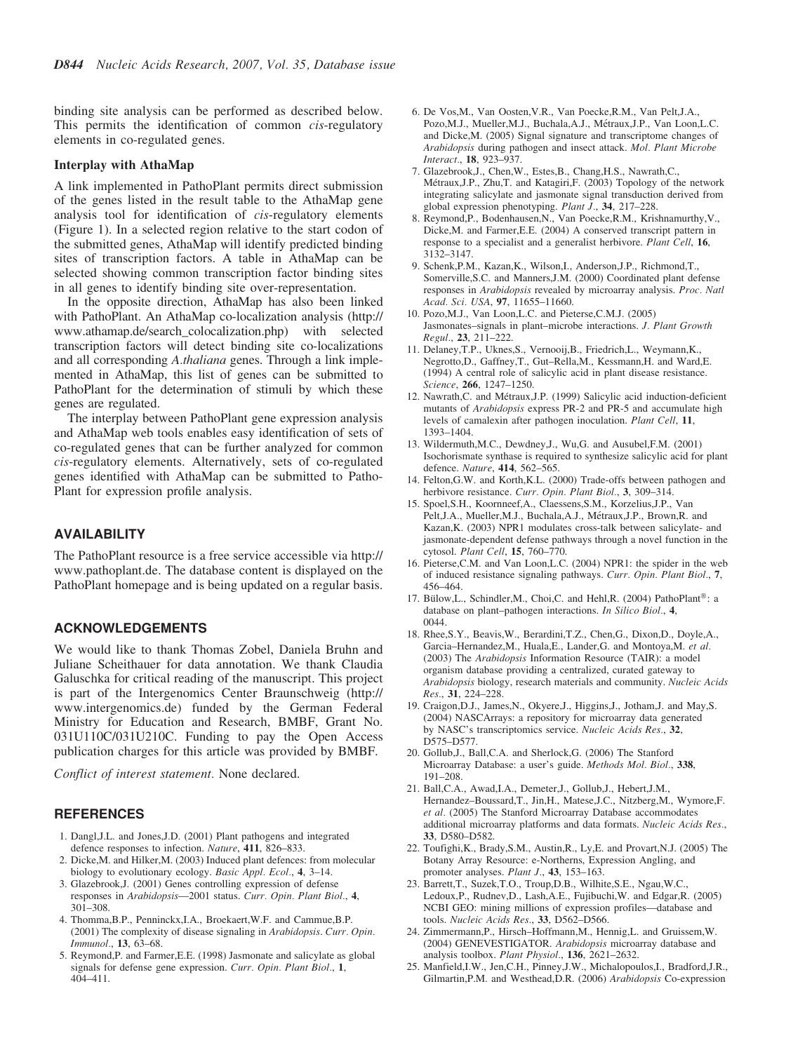binding site analysis can be performed as described below. This permits the identification of common *cis-regulatory* elements in co-regulated genes.

## Interplay with AthaMap

A link implemented in PathoPlant permits direct submission of the genes listed in the result table to the AthaMap gene analysis tool for identification of cis-regulatory elements (Figure 1). In a selected region relative to the start codon of the submitted genes, AthaMap will identify predicted binding sites of transcription factors. A table in AthaMap can be selected showing common transcription factor binding sites in all genes to identify binding site over-representation.

In the opposite direction, AthaMap has also been linked with PathoPlant. An AthaMap co-localization analysis (<http://> www.athamap.de/search\_colocalization.php) with selected transcription factors will detect binding site co-localizations and all corresponding A.thaliana genes. Through a link implemented in AthaMap, this list of genes can be submitted to PathoPlant for the determination of stimuli by which these genes are regulated.

The interplay between PathoPlant gene expression analysis and AthaMap web tools enables easy identification of sets of co-regulated genes that can be further analyzed for common cis-regulatory elements. Alternatively, sets of co-regulated genes identified with AthaMap can be submitted to Patho-Plant for expression profile analysis.

### AVAILABILITY

The PathoPlant resource is a free service accessible via<http://> www.pathoplant.de. The database content is displayed on the PathoPlant homepage and is being updated on a regular basis.

# ACKNOWLEDGEMENTS

We would like to thank Thomas Zobel, Daniela Bruhn and Juliane Scheithauer for data annotation. We thank Claudia Galuschka for critical reading of the manuscript. This project is part of the Intergenomics Center Braunschweig (<http://> www.intergenomics.de) funded by the German Federal Ministry for Education and Research, BMBF, Grant No. 031U110C/031U210C. Funding to pay the Open Access publication charges for this article was provided by BMBF.

Conflict of interest statement. None declared.

## **REFERENCES**

- 1. Dangl,J.L. and Jones,J.D. (2001) Plant pathogens and integrated defence responses to infection. Nature, 411, 826–833.
- 2. Dicke,M. and Hilker,M. (2003) Induced plant defences: from molecular biology to evolutionary ecology. Basic Appl. Ecol., 4, 3-14.
- 3. Glazebrook,J. (2001) Genes controlling expression of defense responses in Arabidopsis—2001 status. Curr. Opin. Plant Biol., 4, 301–308.
- 4. Thomma,B.P., Penninckx,I.A., Broekaert,W.F. and Cammue,B.P. (2001) The complexity of disease signaling in Arabidopsis. Curr. Opin. Immunol., 13, 63–68.
- 5. Reymond,P. and Farmer,E.E. (1998) Jasmonate and salicylate as global signals for defense gene expression. Curr. Opin. Plant Biol., 1, 404–411.
- 6. De Vos,M., Van Oosten,V.R., Van Poecke,R.M., Van Pelt,J.A., Pozo,M.J., Mueller,M.J., Buchala,A.J., Métraux,J.P., Van Loon,L.C. and Dicke,M. (2005) Signal signature and transcriptome changes of Arabidopsis during pathogen and insect attack. Mol. Plant Microbe Interact., 18, 923–937.
- 7. Glazebrook,J., Chen,W., Estes,B., Chang,H.S., Nawrath,C., Métraux, J.P., Zhu, T. and Katagiri, F. (2003) Topology of the network integrating salicylate and jasmonate signal transduction derived from global expression phenotyping. Plant J., 34, 217–228.
- 8. Reymond,P., Bodenhausen,N., Van Poecke,R.M., Krishnamurthy,V., Dicke,M. and Farmer,E.E. (2004) A conserved transcript pattern in response to a specialist and a generalist herbivore. Plant Cell, 16, 3132–3147.
- 9. Schenk,P.M., Kazan,K., Wilson,I., Anderson,J.P., Richmond,T., Somerville,S.C. and Manners,J.M. (2000) Coordinated plant defense responses in Arabidopsis revealed by microarray analysis. Proc. Natl Acad. Sci. USA, 97, 11655–11660.
- 10. Pozo,M.J., Van Loon,L.C. and Pieterse,C.M.J. (2005) Jasmonates–signals in plant–microbe interactions. J. Plant Growth Regul., 23, 211–222.
- 11. Delaney,T.P., Uknes,S., Vernooij,B., Friedrich,L., Weymann,K., Negrotto,D., Gaffney,T., Gut–Rella,M., Kessmann,H. and Ward,E. (1994) A central role of salicylic acid in plant disease resistance. Science, 266, 1247–1250.
- 12. Nawrath, C. and Métraux, J.P. (1999) Salicylic acid induction-deficient mutants of Arabidopsis express PR-2 and PR-5 and accumulate high levels of camalexin after pathogen inoculation. Plant Cell, 11, 1393–1404.
- 13. Wildermuth,M.C., Dewdney,J., Wu,G. and Ausubel,F.M. (2001) Isochorismate synthase is required to synthesize salicylic acid for plant defence. Nature, 414, 562–565.
- 14. Felton,G.W. and Korth,K.L. (2000) Trade-offs between pathogen and herbivore resistance. Curr. Opin. Plant Biol., 3, 309–314.
- 15. Spoel,S.H., Koornneef,A., Claessens,S.M., Korzelius,J.P., Van Pelt, J.A., Mueller, M.J., Buchala, A.J., Métraux, J.P., Brown, R. and Kazan,K. (2003) NPR1 modulates cross-talk between salicylate- and jasmonate-dependent defense pathways through a novel function in the cytosol. Plant Cell, 15, 760–770.
- 16. Pieterse,C.M. and Van Loon,L.C. (2004) NPR1: the spider in the web of induced resistance signaling pathways. Curr. Opin. Plant Biol., 7, 456–464.
- 17. Bülow, L., Schindler, M., Choi, C. and Hehl, R. (2004) PathoPlant®: a database on plant–pathogen interactions. In Silico Biol., 4,  $0044.$
- 18. Rhee,S.Y., Beavis,W., Berardini,T.Z., Chen,G., Dixon,D., Doyle,A., Garcia–Hernandez,M., Huala,E., Lander,G. and Montoya,M. et al. (2003) The Arabidopsis Information Resource (TAIR): a model organism database providing a centralized, curated gateway to Arabidopsis biology, research materials and community. Nucleic Acids Res., 31, 224–228.
- 19. Craigon,D.J., James,N., Okyere,J., Higgins,J., Jotham,J. and May,S. (2004) NASCArrays: a repository for microarray data generated by NASC's transcriptomics service. Nucleic Acids Res., 32, D575–D577.
- 20. Gollub,J., Ball,C.A. and Sherlock,G. (2006) The Stanford Microarray Database: a user's guide. Methods Mol. Biol., 338, 191–208.
- 21. Ball,C.A., Awad,I.A., Demeter,J., Gollub,J., Hebert,J.M., Hernandez–Boussard,T., Jin,H., Matese,J.C., Nitzberg,M., Wymore,F. et al. (2005) The Stanford Microarray Database accommodates additional microarray platforms and data formats. Nucleic Acids Res., 33, D580–D582.
- 22. Toufighi,K., Brady,S.M., Austin,R., Ly,E. and Provart,N.J. (2005) The Botany Array Resource: e-Northerns, Expression Angling, and promoter analyses. Plant J., 43, 153–163.
- 23. Barrett,T., Suzek,T.O., Troup,D.B., Wilhite,S.E., Ngau,W.C., Ledoux,P., Rudnev,D., Lash,A.E., Fujibuchi,W. and Edgar,R. (2005) NCBI GEO: mining millions of expression profiles—database and tools. Nucleic Acids Res., 33, D562-D566.
- 24. Zimmermann,P., Hirsch–Hoffmann,M., Hennig,L. and Gruissem,W. (2004) GENEVESTIGATOR. Arabidopsis microarray database and analysis toolbox. Plant Physiol., 136, 2621–2632.
- 25. Manfield,I.W., Jen,C.H., Pinney,J.W., Michalopoulos,I., Bradford,J.R., Gilmartin,P.M. and Westhead,D.R. (2006) Arabidopsis Co-expression